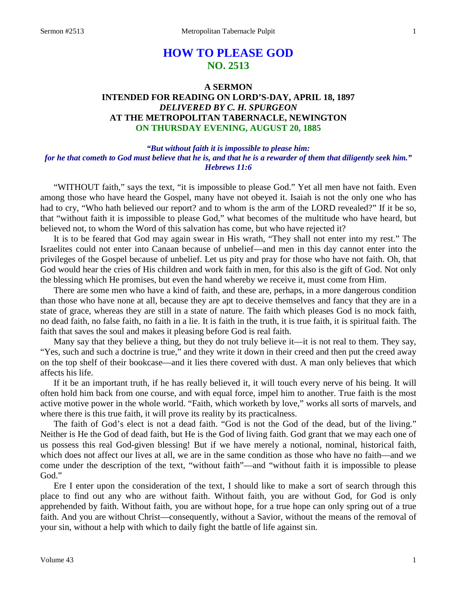## **HOW TO PLEASE GOD NO. 2513**

## **A SERMON INTENDED FOR READING ON LORD'S-DAY, APRIL 18, 1897** *DELIVERED BY C. H. SPURGEON* **AT THE METROPOLITAN TABERNACLE, NEWINGTON ON THURSDAY EVENING, AUGUST 20, 1885**

## *"But without faith it is impossible to please him: for he that cometh to God must believe that he is, and that he is a rewarder of them that diligently seek him." Hebrews 11:6*

"WITHOUT faith," says the text, "it is impossible to please God." Yet all men have not faith. Even among those who have heard the Gospel, many have not obeyed it. Isaiah is not the only one who has had to cry, "Who hath believed our report? and to whom is the arm of the LORD revealed?" If it be so, that "without faith it is impossible to please God," what becomes of the multitude who have heard, but believed not, to whom the Word of this salvation has come, but who have rejected it?

It is to be feared that God may again swear in His wrath, "They shall not enter into my rest." The Israelites could not enter into Canaan because of unbelief—and men in this day cannot enter into the privileges of the Gospel because of unbelief. Let us pity and pray for those who have not faith. Oh, that God would hear the cries of His children and work faith in men, for this also is the gift of God. Not only the blessing which He promises, but even the hand whereby we receive it, must come from Him.

There are some men who have a kind of faith, and these are, perhaps, in a more dangerous condition than those who have none at all, because they are apt to deceive themselves and fancy that they are in a state of grace, whereas they are still in a state of nature. The faith which pleases God is no mock faith, no dead faith, no false faith, no faith in a lie. It is faith in the truth, it is true faith, it is spiritual faith. The faith that saves the soul and makes it pleasing before God is real faith.

Many say that they believe a thing, but they do not truly believe it—it is not real to them. They say, "Yes, such and such a doctrine is true," and they write it down in their creed and then put the creed away on the top shelf of their bookcase—and it lies there covered with dust. A man only believes that which affects his life.

If it be an important truth, if he has really believed it, it will touch every nerve of his being. It will often hold him back from one course, and with equal force, impel him to another. True faith is the most active motive power in the whole world. "Faith, which worketh by love," works all sorts of marvels, and where there is this true faith, it will prove its reality by its practicalness.

The faith of God's elect is not a dead faith. "God is not the God of the dead, but of the living." Neither is He the God of dead faith, but He is the God of living faith. God grant that we may each one of us possess this real God-given blessing! But if we have merely a notional, nominal, historical faith, which does not affect our lives at all, we are in the same condition as those who have no faith—and we come under the description of the text, "without faith"—and "without faith it is impossible to please God."

Ere I enter upon the consideration of the text, I should like to make a sort of search through this place to find out any who are without faith. Without faith, you are without God, for God is only apprehended by faith. Without faith, you are without hope, for a true hope can only spring out of a true faith. And you are without Christ—consequently, without a Savior, without the means of the removal of your sin, without a help with which to daily fight the battle of life against sin.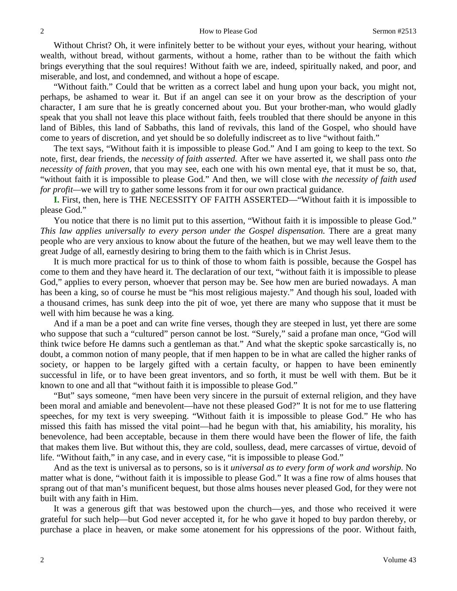Without Christ? Oh, it were infinitely better to be without your eyes, without your hearing, without wealth, without bread, without garments, without a home, rather than to be without the faith which brings everything that the soul requires! Without faith we are, indeed, spiritually naked, and poor, and miserable, and lost, and condemned, and without a hope of escape.

"Without faith." Could that be written as a correct label and hung upon your back, you might not, perhaps, be ashamed to wear it. But if an angel can see it on your brow as the description of your character, I am sure that he is greatly concerned about you. But your brother-man, who would gladly speak that you shall not leave this place without faith, feels troubled that there should be anyone in this land of Bibles, this land of Sabbaths, this land of revivals, this land of the Gospel, who should have come to years of discretion, and yet should be so dolefully indiscreet as to live "without faith."

The text says, "Without faith it is impossible to please God." And I am going to keep to the text. So note, first, dear friends, the *necessity of faith asserted.* After we have asserted it, we shall pass onto *the necessity of faith proven,* that you may see, each one with his own mental eye, that it must be so, that, "without faith it is impossible to please God." And then, we will close with *the necessity of faith used for profit—we will try to gather some lessons from it for our own practical guidance.* 

**I.** First, then, here is THE NECESSITY OF FAITH ASSERTED—"Without faith it is impossible to please God."

You notice that there is no limit put to this assertion, "Without faith it is impossible to please God." *This law applies universally to every person under the Gospel dispensation.* There are a great many people who are very anxious to know about the future of the heathen, but we may well leave them to the great Judge of all, earnestly desiring to bring them to the faith which is in Christ Jesus.

It is much more practical for us to think of those to whom faith is possible, because the Gospel has come to them and they have heard it. The declaration of our text, "without faith it is impossible to please God," applies to every person, whoever that person may be. See how men are buried nowadays. A man has been a king, so of course he must be "his most religious majesty." And though his soul, loaded with a thousand crimes, has sunk deep into the pit of woe, yet there are many who suppose that it must be well with him because he was a king.

And if a man be a poet and can write fine verses, though they are steeped in lust, yet there are some who suppose that such a "cultured" person cannot be lost. "Surely," said a profane man once, "God will think twice before He damns such a gentleman as that." And what the skeptic spoke sarcastically is, no doubt, a common notion of many people, that if men happen to be in what are called the higher ranks of society, or happen to be largely gifted with a certain faculty, or happen to have been eminently successful in life, or to have been great inventors, and so forth, it must be well with them. But be it known to one and all that "without faith it is impossible to please God."

"But" says someone, "men have been very sincere in the pursuit of external religion, and they have been moral and amiable and benevolent—have not these pleased God?" It is not for me to use flattering speeches, for my text is very sweeping. "Without faith it is impossible to please God." He who has missed this faith has missed the vital point—had he begun with that, his amiability, his morality, his benevolence, had been acceptable, because in them there would have been the flower of life, the faith that makes them live. But without this, they are cold, soulless, dead, mere carcasses of virtue, devoid of life. "Without faith," in any case, and in every case, "it is impossible to please God."

And as the text is universal as to persons, so is it *universal as to every form of work and worship*. No matter what is done, "without faith it is impossible to please God." It was a fine row of alms houses that sprang out of that man's munificent bequest, but those alms houses never pleased God, for they were not built with any faith in Him.

It was a generous gift that was bestowed upon the church—yes, and those who received it were grateful for such help—but God never accepted it, for he who gave it hoped to buy pardon thereby, or purchase a place in heaven, or make some atonement for his oppressions of the poor. Without faith,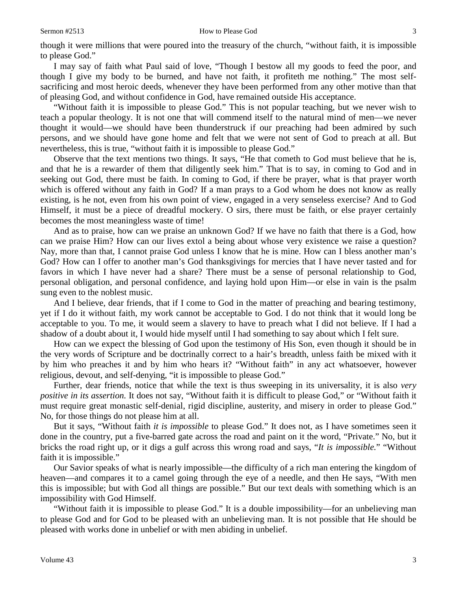I may say of faith what Paul said of love, "Though I bestow all my goods to feed the poor, and though I give my body to be burned, and have not faith, it profiteth me nothing." The most selfsacrificing and most heroic deeds, whenever they have been performed from any other motive than that of pleasing God, and without confidence in God, have remained outside His acceptance.

"Without faith it is impossible to please God." This is not popular teaching, but we never wish to teach a popular theology. It is not one that will commend itself to the natural mind of men—we never thought it would—we should have been thunderstruck if our preaching had been admired by such persons, and we should have gone home and felt that we were not sent of God to preach at all. But nevertheless, this is true, "without faith it is impossible to please God."

Observe that the text mentions two things. It says, "He that cometh to God must believe that he is, and that he is a rewarder of them that diligently seek him." That is to say, in coming to God and in seeking out God, there must be faith. In coming to God, if there be prayer, what is that prayer worth which is offered without any faith in God? If a man prays to a God whom he does not know as really existing, is he not, even from his own point of view, engaged in a very senseless exercise? And to God Himself, it must be a piece of dreadful mockery. O sirs, there must be faith, or else prayer certainly becomes the most meaningless waste of time!

And as to praise, how can we praise an unknown God? If we have no faith that there is a God, how can we praise Him? How can our lives extol a being about whose very existence we raise a question? Nay, more than that, I cannot praise God unless I know that he is mine. How can I bless another man's God? How can I offer to another man's God thanksgivings for mercies that I have never tasted and for favors in which I have never had a share? There must be a sense of personal relationship to God, personal obligation, and personal confidence, and laying hold upon Him—or else in vain is the psalm sung even to the noblest music.

And I believe, dear friends, that if I come to God in the matter of preaching and bearing testimony, yet if I do it without faith, my work cannot be acceptable to God. I do not think that it would long be acceptable to you. To me, it would seem a slavery to have to preach what I did not believe. If I had a shadow of a doubt about it, I would hide myself until I had something to say about which I felt sure.

How can we expect the blessing of God upon the testimony of His Son, even though it should be in the very words of Scripture and be doctrinally correct to a hair's breadth, unless faith be mixed with it by him who preaches it and by him who hears it? "Without faith" in any act whatsoever, however religious, devout, and self-denying, "it is impossible to please God."

Further, dear friends, notice that while the text is thus sweeping in its universality, it is also *very positive in its assertion.* It does not say, "Without faith it is difficult to please God," or "Without faith it must require great monastic self-denial, rigid discipline, austerity, and misery in order to please God." No, for those things do not please him at all.

But it says, "Without faith *it is impossible* to please God." It does not, as I have sometimes seen it done in the country, put a five-barred gate across the road and paint on it the word, "Private." No, but it bricks the road right up, or it digs a gulf across this wrong road and says, "*It is impossible.*" "Without faith it is impossible."

Our Savior speaks of what is nearly impossible—the difficulty of a rich man entering the kingdom of heaven—and compares it to a camel going through the eye of a needle, and then He says, "With men this is impossible; but with God all things are possible." But our text deals with something which is an impossibility with God Himself.

"Without faith it is impossible to please God." It is a double impossibility—for an unbelieving man to please God and for God to be pleased with an unbelieving man. It is not possible that He should be pleased with works done in unbelief or with men abiding in unbelief.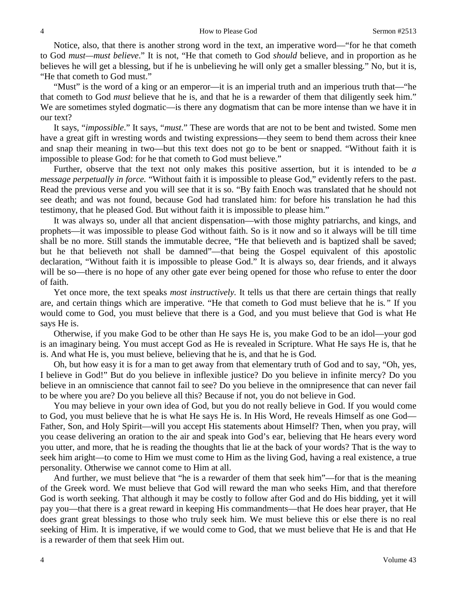Notice, also, that there is another strong word in the text, an imperative word—"for he that cometh to God *must—must believe*." It is not, "He that cometh to God *should* believe, and in proportion as he believes he will get a blessing, but if he is unbelieving he will only get a smaller blessing." No, but it is, "He that cometh to God must."

"Must" is the word of a king or an emperor—it is an imperial truth and an imperious truth that—"he that cometh to God *must* believe that he is, and that he is a rewarder of them that diligently seek him." We are sometimes styled dogmatic—is there any dogmatism that can be more intense than we have it in our text?

It says, "*impossible*." It says, "*must*." These are words that are not to be bent and twisted. Some men have a great gift in wresting words and twisting expressions—they seem to bend them across their knee and snap their meaning in two—but this text does not go to be bent or snapped. "Without faith it is impossible to please God: for he that cometh to God must believe."

Further, observe that the text not only makes this positive assertion, but it is intended to be *a message perpetually in force.* "Without faith it is impossible to please God," evidently refers to the past. Read the previous verse and you will see that it is so. "By faith Enoch was translated that he should not see death; and was not found, because God had translated him: for before his translation he had this testimony, that he pleased God. But without faith it is impossible to please him."

It was always so, under all that ancient dispensation—with those mighty patriarchs, and kings, and prophets—it was impossible to please God without faith. So is it now and so it always will be till time shall be no more. Still stands the immutable decree, "He that believeth and is baptized shall be saved; but he that believeth not shall be damned"—that being the Gospel equivalent of this apostolic declaration, "Without faith it is impossible to please God." It is always so, dear friends, and it always will be so—there is no hope of any other gate ever being opened for those who refuse to enter the door of faith.

Yet once more, the text speaks *most instructively.* It tells us that there are certain things that really are, and certain things which are imperative. "He that cometh to God must believe that he is*."* If you would come to God, you must believe that there is a God, and you must believe that God is what He says He is.

Otherwise, if you make God to be other than He says He is, you make God to be an idol—your god is an imaginary being. You must accept God as He is revealed in Scripture. What He says He is, that he is. And what He is, you must believe, believing that he is, and that he is God*.*

Oh, but how easy it is for a man to get away from that elementary truth of God and to say, "Oh, yes, I believe in God!" But do you believe in inflexible justice? Do you believe in infinite mercy? Do you believe in an omniscience that cannot fail to see? Do you believe in the omnipresence that can never fail to be where you are? Do you believe all this? Because if not, you do not believe in God.

You may believe in your own idea of God, but you do not really believe in God. If you would come to God, you must believe that he is what He says He is. In His Word, He reveals Himself as one God— Father, Son, and Holy Spirit—will you accept His statements about Himself? Then, when you pray, will you cease delivering an oration to the air and speak into God's ear, believing that He hears every word you utter, and more, that he is reading the thoughts that lie at the back of your words? That is the way to seek him aright—to come to Him we must come to Him as the living God, having a real existence, a true personality. Otherwise we cannot come to Him at all.

And further, we must believe that "he is a rewarder of them that seek him"—for that is the meaning of the Greek word. We must believe that God will reward the man who seeks Him, and that therefore God is worth seeking. That although it may be costly to follow after God and do His bidding, yet it will pay you—that there is a great reward in keeping His commandments—that He does hear prayer, that He does grant great blessings to those who truly seek him. We must believe this or else there is no real seeking of Him. It is imperative, if we would come to God, that we must believe that He is and that He is a rewarder of them that seek Him out.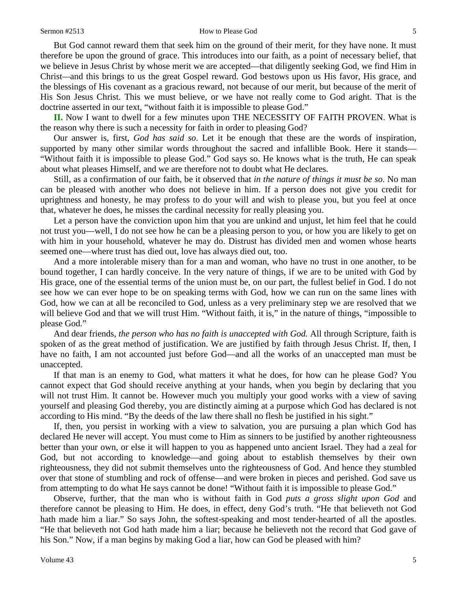## Sermon #2513 How to Please God 5

But God cannot reward them that seek him on the ground of their merit, for they have none. It must therefore be upon the ground of grace. This introduces into our faith, as a point of necessary belief, that we believe in Jesus Christ by whose merit we are accepted—that diligently seeking God, we find Him in Christ*—*and this brings to us the great Gospel reward. God bestows upon us His favor, His grace, and the blessings of His covenant as a gracious reward, not because of our merit, but because of the merit of His Son Jesus Christ. This we must believe, or we have not really come to God aright. That is the doctrine asserted in our text, "without faith it is impossible to please God."

**II.** Now I want to dwell for a few minutes upon THE NECESSITY OF FAITH PROVEN. What is the reason why there is such a necessity for faith in order to pleasing God?

Our answer is, first, *God has said so*. Let it be enough that these are the words of inspiration, supported by many other similar words throughout the sacred and infallible Book. Here it stands— "Without faith it is impossible to please God." God says so. He knows what is the truth, He can speak about what pleases Himself, and we are therefore not to doubt what He declares.

Still, as a confirmation of our faith, be it observed that *in the nature of things it must be so*. No man can be pleased with another who does not believe in him. If a person does not give you credit for uprightness and honesty, he may profess to do your will and wish to please you, but you feel at once that, whatever he does, he misses the cardinal necessity for really pleasing you.

Let a person have the conviction upon him that you are unkind and unjust, let him feel that he could not trust you—well, I do not see how he can be a pleasing person to you, or how you are likely to get on with him in your household, whatever he may do. Distrust has divided men and women whose hearts seemed one—where trust has died out, love has always died out, too.

And a more intolerable misery than for a man and woman, who have no trust in one another, to be bound together, I can hardly conceive. In the very nature of things, if we are to be united with God by His grace, one of the essential terms of the union must be, on our part, the fullest belief in God. I do not see how we can ever hope to be on speaking terms with God, how we can run on the same lines with God, how we can at all be reconciled to God, unless as a very preliminary step we are resolved that we will believe God and that we will trust Him. "Without faith, it is," in the nature of things, "impossible to please God."

And dear friends, *the person who has no faith is unaccepted with God.* All through Scripture, faith is spoken of as the great method of justification. We are justified by faith through Jesus Christ. If, then, I have no faith, I am not accounted just before God—and all the works of an unaccepted man must be unaccepted.

If that man is an enemy to God, what matters it what he does, for how can he please God? You cannot expect that God should receive anything at your hands, when you begin by declaring that you will not trust Him. It cannot be. However much you multiply your good works with a view of saving yourself and pleasing God thereby, you are distinctly aiming at a purpose which God has declared is not according to His mind. "By the deeds of the law there shall no flesh be justified in his sight."

If, then, you persist in working with a view to salvation, you are pursuing a plan which God has declared He never will accept. You must come to Him as sinners to be justified by another righteousness better than your own, or else it will happen to you as happened unto ancient Israel. They had a zeal for God, but not according to knowledge—and going about to establish themselves by their own righteousness, they did not submit themselves unto the righteousness of God. And hence they stumbled over that stone of stumbling and rock of offense—and were broken in pieces and perished. God save us from attempting to do what He says cannot be done! "Without faith it is impossible to please God."

Observe, further, that the man who is without faith in God *puts a gross slight upon God* and therefore cannot be pleasing to Him. He does, in effect, deny God's truth. "He that believeth not God hath made him a liar." So says John, the softest-speaking and most tender-hearted of all the apostles. "He that believeth not God hath made him a liar; because he believeth not the record that God gave of his Son." Now, if a man begins by making God a liar, how can God be pleased with him?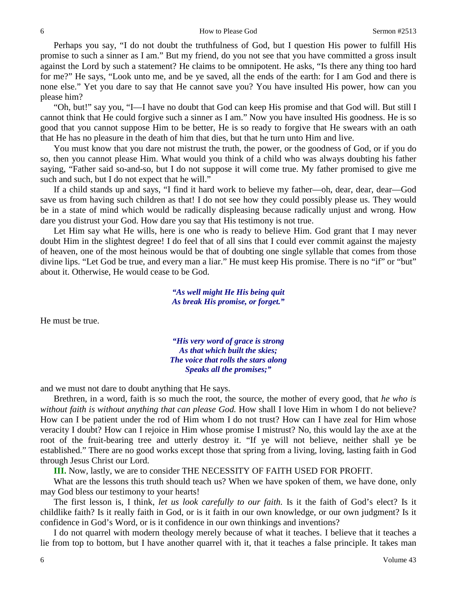Perhaps you say, "I do not doubt the truthfulness of God, but I question His power to fulfill His promise to such a sinner as I am." But my friend, do you not see that you have committed a gross insult against the Lord by such a statement? He claims to be omnipotent. He asks, "Is there any thing too hard for me?" He says, "Look unto me, and be ye saved, all the ends of the earth: for I am God and there is none else." Yet you dare to say that He cannot save you? You have insulted His power, how can you please him?

"Oh, but!" say you, "I—I have no doubt that God can keep His promise and that God will. But still I cannot think that He could forgive such a sinner as I am." Now you have insulted His goodness. He is so good that you cannot suppose Him to be better, He is so ready to forgive that He swears with an oath that He has no pleasure in the death of him that dies, but that he turn unto Him and live.

You must know that you dare not mistrust the truth, the power, or the goodness of God, or if you do so, then you cannot please Him. What would you think of a child who was always doubting his father saying, "Father said so-and-so, but I do not suppose it will come true. My father promised to give me such and such, but I do not expect that he will."

If a child stands up and says, "I find it hard work to believe my father—oh, dear, dear, dear—God save us from having such children as that! I do not see how they could possibly please us. They would be in a state of mind which would be radically displeasing because radically unjust and wrong. How dare you distrust your God. How dare you say that His testimony is not true.

Let Him say what He wills, here is one who is ready to believe Him. God grant that I may never doubt Him in the slightest degree! I do feel that of all sins that I could ever commit against the majesty of heaven, one of the most heinous would be that of doubting one single syllable that comes from those divine lips. "Let God be true, and every man a liar." He must keep His promise. There is no "if" or "but" about it. Otherwise, He would cease to be God.

> *"As well might He His being quit As break His promise, or forget."*

He must be true.

*"His very word of grace is strong As that which built the skies; The voice that rolls the stars along Speaks all the promises;"*

and we must not dare to doubt anything that He says.

Brethren, in a word, faith is so much the root, the source, the mother of every good, that *he who is*  without faith is without anything that can please God. How shall I love Him in whom I do not believe? How can I be patient under the rod of Him whom I do not trust? How can I have zeal for Him whose veracity I doubt? How can I rejoice in Him whose promise I mistrust? No, this would lay the axe at the root of the fruit-bearing tree and utterly destroy it. "If ye will not believe, neither shall ye be established." There are no good works except those that spring from a living, loving, lasting faith in God through Jesus Christ our Lord.

**III.** Now, lastly, we are to consider THE NECESSITY OF FAITH USED FOR PROFIT.

What are the lessons this truth should teach us? When we have spoken of them, we have done, only may God bless our testimony to your hearts!

The first lesson is, I think, *let us look carefully to our faith.* Is it the faith of God's elect? Is it childlike faith? Is it really faith in God, or is it faith in our own knowledge, or our own judgment? Is it confidence in God's Word, or is it confidence in our own thinkings and inventions?

I do not quarrel with modern theology merely because of what it teaches. I believe that it teaches a lie from top to bottom, but I have another quarrel with it, that it teaches a false principle. It takes man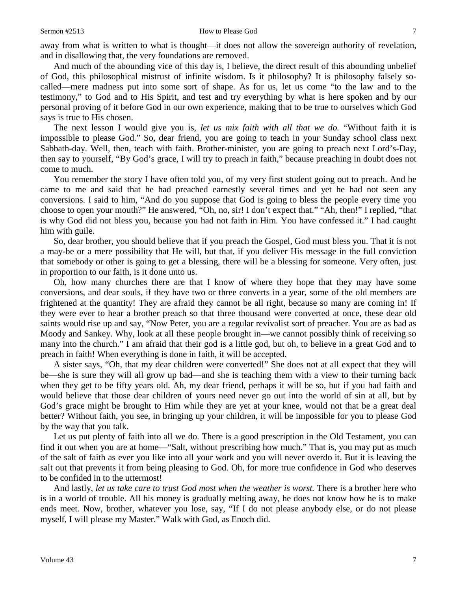away from what is written to what is thought—it does not allow the sovereign authority of revelation, and in disallowing that, the very foundations are removed.

And much of the abounding vice of this day is, I believe, the direct result of this abounding unbelief of God, this philosophical mistrust of infinite wisdom. Is it philosophy? It is philosophy falsely socalled—mere madness put into some sort of shape. As for us, let us come "to the law and to the testimony," to God and to His Spirit, and test and try everything by what is here spoken and by our personal proving of it before God in our own experience, making that to be true to ourselves which God says is true to His chosen.

The next lesson I would give you is, *let us mix faith with all that we do.* "Without faith it is impossible to please God." So, dear friend, you are going to teach in your Sunday school class next Sabbath-day. Well, then, teach with faith. Brother-minister, you are going to preach next Lord's-Day, then say to yourself, "By God's grace, I will try to preach in faith," because preaching in doubt does not come to much.

You remember the story I have often told you, of my very first student going out to preach. And he came to me and said that he had preached earnestly several times and yet he had not seen any conversions. I said to him, "And do you suppose that God is going to bless the people every time you choose to open your mouth?" He answered, "Oh, no, sir! I don't expect that." "Ah, then!" I replied, "that is why God did not bless you, because you had not faith in Him. You have confessed it." I had caught him with guile.

So*,* dear brother, you should believe that if you preach the Gospel, God must bless you. That it is not a may-be or a mere possibility that He will, but that, if you deliver His message in the full conviction that somebody or other is going to get a blessing, there will be a blessing for someone. Very often, just in proportion to our faith, is it done unto us.

Oh, how many churches there are that I know of where they hope that they may have some conversions, and dear souls, if they have two or three converts in a year, some of the old members are frightened at the quantity! They are afraid they cannot be all right, because so many are coming in! If they were ever to hear a brother preach so that three thousand were converted at once, these dear old saints would rise up and say, "Now Peter, you are a regular revivalist sort of preacher. You are as bad as Moody and Sankey. Why, look at all these people brought in—we cannot possibly think of receiving so many into the church." I am afraid that their god is a little god, but oh, to believe in a great God and to preach in faith! When everything is done in faith, it will be accepted.

A sister says, "Oh, that my dear children were converted!" She does not at all expect that they will be—she is sure they will all grow up bad—and she is teaching them with a view to their turning back when they get to be fifty years old. Ah, my dear friend, perhaps it will be so, but if you had faith and would believe that those dear children of yours need never go out into the world of sin at all, but by God's grace might be brought to Him while they are yet at your knee, would not that be a great deal better? Without faith, you see, in bringing up your children, it will be impossible for you to please God by the way that you talk.

Let us put plenty of faith into all we do. There is a good prescription in the Old Testament, you can find it out when you are at home—"Salt, without prescribing how much." That is, you may put as much of the salt of faith as ever you like into all your work and you will never overdo it. But it is leaving the salt out that prevents it from being pleasing to God. Oh, for more true confidence in God who deserves to be confided in to the uttermost!

And lastly, *let us take care to trust God most when the weather is worst.* There is a brother here who is in a world of trouble. All his money is gradually melting away, he does not know how he is to make ends meet. Now, brother, whatever you lose, say, "If I do not please anybody else, or do not please myself, I will please my Master." Walk with God, as Enoch did.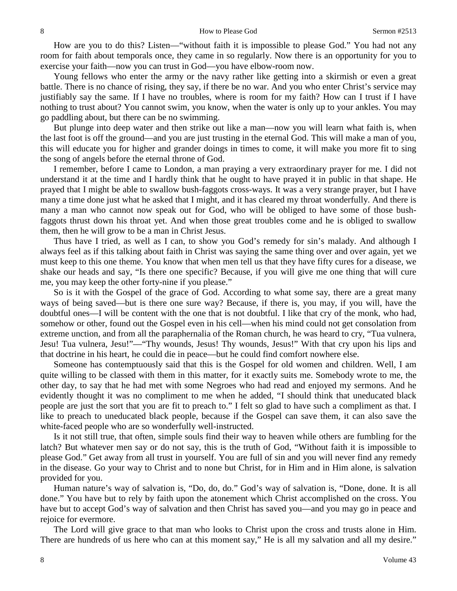How are you to do this? Listen—"without faith it is impossible to please God." You had not any room for faith about temporals once, they came in so regularly. Now there is an opportunity for you to exercise your faith—now you can trust in God—you have elbow-room now.

Young fellows who enter the army or the navy rather like getting into a skirmish or even a great battle. There is no chance of rising, they say, if there be no war. And you who enter Christ's service may justifiably say the same. If I have no troubles, where is room for my faith? How can I trust if I have nothing to trust about? You cannot swim, you know, when the water is only up to your ankles. You may go paddling about, but there can be no swimming.

But plunge into deep water and then strike out like a man—now you will learn what faith is, when the last foot is off the ground—and you are just trusting in the eternal God. This will make a man of you, this will educate you for higher and grander doings in times to come, it will make you more fit to sing the song of angels before the eternal throne of God.

I remember, before I came to London, a man praying a very extraordinary prayer for me. I did not understand it at the time and I hardly think that he ought to have prayed it in public in that shape. He prayed that I might be able to swallow bush-faggots cross-ways. It was a very strange prayer, but I have many a time done just what he asked that I might, and it has cleared my throat wonderfully. And there is many a man who cannot now speak out for God, who will be obliged to have some of those bushfaggots thrust down his throat yet. And when those great troubles come and he is obliged to swallow them, then he will grow to be a man in Christ Jesus.

Thus have I tried, as well as I can, to show you God's remedy for sin's malady. And although I always feel as if this talking about faith in Christ was saying the same thing over and over again, yet we must keep to this one theme. You know that when men tell us that they have fifty cures for a disease, we shake our heads and say, "Is there one specific? Because, if you will give me one thing that will cure me, you may keep the other forty-nine if you please."

So is it with the Gospel of the grace of God. According to what some say, there are a great many ways of being saved—but is there one sure way? Because, if there is, you may, if you will, have the doubtful ones—I will be content with the one that is not doubtful. I like that cry of the monk, who had, somehow or other, found out the Gospel even in his cell—when his mind could not get consolation from extreme unction, and from all the paraphernalia of the Roman church, he was heard to cry, "Tua vulnera, Jesu! Tua vulnera, Jesu!"—"Thy wounds, Jesus! Thy wounds, Jesus!" With that cry upon his lips and that doctrine in his heart, he could die in peace—but he could find comfort nowhere else.

Someone has contemptuously said that this is the Gospel for old women and children. Well, I am quite willing to be classed with them in this matter, for it exactly suits me. Somebody wrote to me, the other day, to say that he had met with some Negroes who had read and enjoyed my sermons. And he evidently thought it was no compliment to me when he added, "I should think that uneducated black people are just the sort that you are fit to preach to." I felt so glad to have such a compliment as that. I like to preach to uneducated black people, because if the Gospel can save them, it can also save the white-faced people who are so wonderfully well-instructed.

Is it not still true, that often, simple souls find their way to heaven while others are fumbling for the latch? But whatever men say or do not say, this is the truth of God, "Without faith it is impossible to please God." Get away from all trust in yourself. You are full of sin and you will never find any remedy in the disease. Go your way to Christ and to none but Christ, for in Him and in Him alone, is salvation provided for you.

Human nature's way of salvation is, "Do, do, do." God's way of salvation is, "Done, done. It is all done." You have but to rely by faith upon the atonement which Christ accomplished on the cross. You have but to accept God's way of salvation and then Christ has saved you—and you may go in peace and rejoice for evermore.

The Lord will give grace to that man who looks to Christ upon the cross and trusts alone in Him. There are hundreds of us here who can at this moment say," He is all my salvation and all my desire."